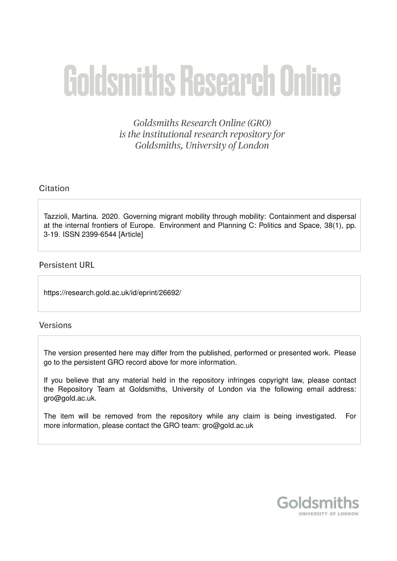# **Goldsmiths Research Online**

Goldsmiths Research Online (GRO) is the institutional research repository for Goldsmiths, University of London

## Citation

Tazzioli, Martina. 2020. Governing migrant mobility through mobility: Containment and dispersal at the internal frontiers of Europe. Environment and Planning C: Politics and Space, 38(1), pp. 3-19. ISSN 2399-6544 [Article]

## **Persistent URL**

https://research.gold.ac.uk/id/eprint/26692/

## **Versions**

The version presented here may differ from the published, performed or presented work. Please go to the persistent GRO record above for more information.

If you believe that any material held in the repository infringes copyright law, please contact the Repository Team at Goldsmiths, University of London via the following email address: gro@gold.ac.uk.

The item will be removed from the repository while any claim is being investigated. For more information, please contact the GRO team: gro@gold.ac.uk

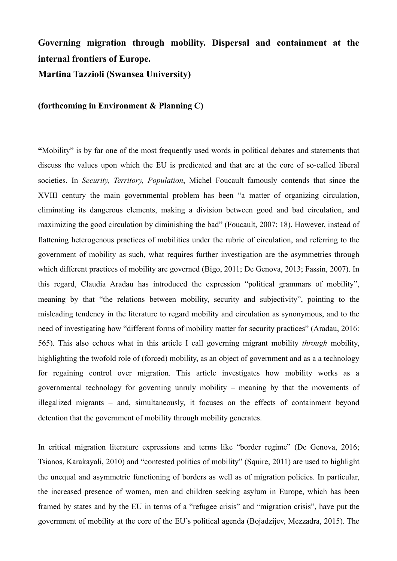## **Governing migration through mobility. Dispersal and containment at the internal frontiers of Europe.**

**Martina Tazzioli (Swansea University)** 

### **(forthcoming in Environment & Planning C)**

**"**Mobility" is by far one of the most frequently used words in political debates and statements that discuss the values upon which the EU is predicated and that are at the core of so-called liberal societies. In *Security, Territory, Population*, Michel Foucault famously contends that since the XVIII century the main governmental problem has been "a matter of organizing circulation, eliminating its dangerous elements, making a division between good and bad circulation, and maximizing the good circulation by diminishing the bad" (Foucault, 2007: 18). However, instead of flattening heterogenous practices of mobilities under the rubric of circulation, and referring to the government of mobility as such, what requires further investigation are the asymmetries through which different practices of mobility are governed (Bigo, 2011; De Genova, 2013; Fassin, 2007). In this regard, Claudia Aradau has introduced the expression "political grammars of mobility", meaning by that "the relations between mobility, security and subjectivity", pointing to the misleading tendency in the literature to regard mobility and circulation as synonymous, and to the need of investigating how "different forms of mobility matter for security practices" (Aradau, 2016: 565). This also echoes what in this article I call governing migrant mobility *through* mobility, highlighting the twofold role of (forced) mobility, as an object of government and as a a technology for regaining control over migration. This article investigates how mobility works as a governmental technology for governing unruly mobility – meaning by that the movements of illegalized migrants – and, simultaneously, it focuses on the effects of containment beyond detention that the government of mobility through mobility generates.

In critical migration literature expressions and terms like "border regime" (De Genova, 2016; Tsianos, Karakayali, 2010) and "contested politics of mobility" (Squire, 2011) are used to highlight the unequal and asymmetric functioning of borders as well as of migration policies. In particular, the increased presence of women, men and children seeking asylum in Europe, which has been framed by states and by the EU in terms of a "refugee crisis" and "migration crisis", have put the government of mobility at the core of the EU's political agenda (Bojadzijev, Mezzadra, 2015). The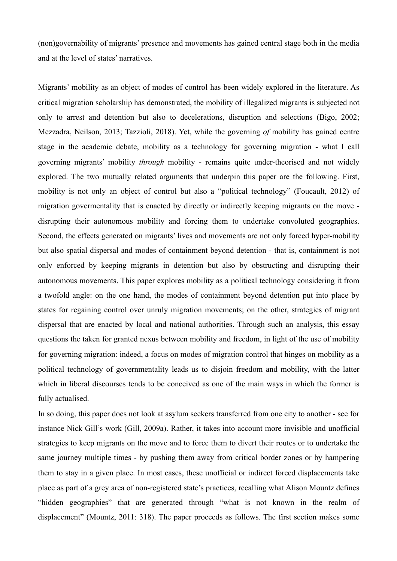(non)governability of migrants' presence and movements has gained central stage both in the media and at the level of states' narratives.

Migrants' mobility as an object of modes of control has been widely explored in the literature. As critical migration scholarship has demonstrated, the mobility of illegalized migrants is subjected not only to arrest and detention but also to decelerations, disruption and selections (Bigo, 2002; Mezzadra, Neilson, 2013; Tazzioli, 2018). Yet, while the governing *of* mobility has gained centre stage in the academic debate, mobility as a technology for governing migration - what I call governing migrants' mobility *through* mobility - remains quite under-theorised and not widely explored. The two mutually related arguments that underpin this paper are the following. First, mobility is not only an object of control but also a "political technology" (Foucault, 2012) of migration govermentality that is enacted by directly or indirectly keeping migrants on the move disrupting their autonomous mobility and forcing them to undertake convoluted geographies. Second, the effects generated on migrants' lives and movements are not only forced hyper-mobility but also spatial dispersal and modes of containment beyond detention - that is, containment is not only enforced by keeping migrants in detention but also by obstructing and disrupting their autonomous movements. This paper explores mobility as a political technology considering it from a twofold angle: on the one hand, the modes of containment beyond detention put into place by states for regaining control over unruly migration movements; on the other, strategies of migrant dispersal that are enacted by local and national authorities. Through such an analysis, this essay questions the taken for granted nexus between mobility and freedom, in light of the use of mobility for governing migration: indeed, a focus on modes of migration control that hinges on mobility as a political technology of governmentality leads us to disjoin freedom and mobility, with the latter which in liberal discourses tends to be conceived as one of the main ways in which the former is fully actualised.

In so doing, this paper does not look at asylum seekers transferred from one city to another - see for instance Nick Gill's work (Gill, 2009a). Rather, it takes into account more invisible and unofficial strategies to keep migrants on the move and to force them to divert their routes or to undertake the same journey multiple times - by pushing them away from critical border zones or by hampering them to stay in a given place. In most cases, these unofficial or indirect forced displacements take place as part of a grey area of non-registered state's practices, recalling what Alison Mountz defines "hidden geographies" that are generated through "what is not known in the realm of displacement" (Mountz, 2011: 318). The paper proceeds as follows. The first section makes some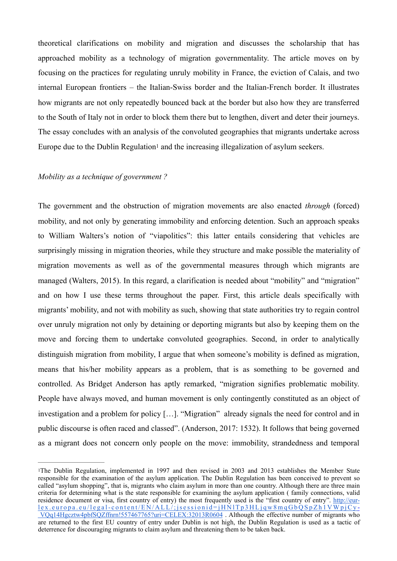theoretical clarifications on mobility and migration and discusses the scholarship that has approached mobility as a technology of migration governmentality. The article moves on by focusing on the practices for regulating unruly mobility in France, the eviction of Calais, and two internal European frontiers – the Italian-Swiss border and the Italian-French border. It illustrates how migrants are not only repeatedly bounced back at the border but also how they are transferred to the South of Italy not in order to block them there but to lengthen, divert and deter their journeys. The essay concludes with an analysis of the convoluted geographies that migrants undertake across Europe due to the Dublin Regulation<sup>1</sup> and the increasing illegalization of asylum seekers.

## *Mobility as a technique of government ?*

The government and the obstruction of migration movements are also enacted *through* (forced) mobility, and not only by generating immobility and enforcing detention. Such an approach speaks to William Walters's notion of "viapolitics": this latter entails considering that vehicles are surprisingly missing in migration theories, while they structure and make possible the materiality of migration movements as well as of the governmental measures through which migrants are managed (Walters, 2015). In this regard, a clarification is needed about "mobility" and "migration" and on how I use these terms throughout the paper. First, this article deals specifically with migrants' mobility, and not with mobility as such, showing that state authorities try to regain control over unruly migration not only by detaining or deporting migrants but also by keeping them on the move and forcing them to undertake convoluted geographies. Second, in order to analytically distinguish migration from mobility, I argue that when someone's mobility is defined as migration, means that his/her mobility appears as a problem, that is as something to be governed and controlled. As Bridget Anderson has aptly remarked, "migration signifies problematic mobility. People have always moved, and human movement is only contingently constituted as an object of investigation and a problem for policy […]. "Migration" already signals the need for control and in public discourse is often raced and classed". (Anderson, 2017: 1532). It follows that being governed as a migrant does not concern only people on the move: immobility, strandedness and temporal

<sup>&</sup>lt;sup>1</sup>The Dublin Regulation, implemented in 1997 and then revised in 2003 and 2013 establishes the Member State responsible for the examination of the asylum application. The Dublin Regulation has been conceived to prevent so called "asylum shopping", that is, migrants who claim asylum in more than one country. Although there are three main criteria for determining what is the state responsible for examining the asylum application ( family connections, valid residence document or visa, first country of entry) the most frequently used is the "first country of entry". http://eurlex.europa.eu/legal-content/EN/ALL/;jsessionid=jHNlTp3HLjqw8mqGbQSpZh1VWpjCy - VQq14Hgcztw4pbfSQZffnrn!557467765?uri=CELEX:32013R0604 . Although the effective number of migrants who are returned to the first EU country of entry under Dublin is not high, the Dublin Regulation is used as a tactic of deterrence for discouraging migrants to claim asylum and threatening them to be taken back.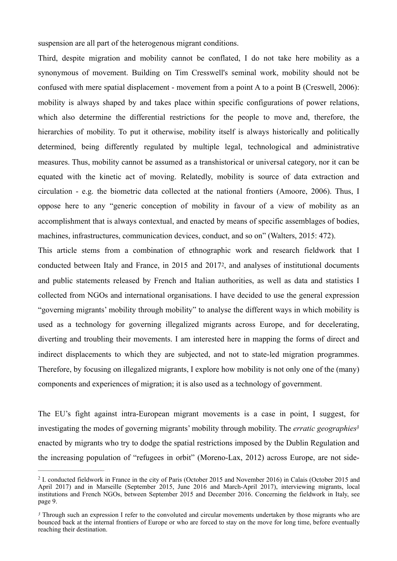suspension are all part of the heterogenous migrant conditions.

Third, despite migration and mobility cannot be conflated, I do not take here mobility as a synonymous of movement. Building on Tim Cresswell's seminal work, mobility should not be confused with mere spatial displacement - movement from a point A to a point B (Creswell, 2006): mobility is always shaped by and takes place within specific configurations of power relations, which also determine the differential restrictions for the people to move and, therefore, the hierarchies of mobility. To put it otherwise, mobility itself is always historically and politically determined, being differently regulated by multiple legal, technological and administrative measures. Thus, mobility cannot be assumed as a transhistorical or universal category, nor it can be equated with the kinetic act of moving. Relatedly, mobility is source of data extraction and circulation - e.g. the biometric data collected at the national frontiers (Amoore, 2006). Thus, I oppose here to any "generic conception of mobility in favour of a view of mobility as an accomplishment that is always contextual, and enacted by means of specific assemblages of bodies, machines, infrastructures, communication devices, conduct, and so on" (Walters, 2015: 472).

This article stems from a combination of ethnographic work and research fieldwork that I conducted between Italy and France, in 2015 and 20172, and analyses of institutional documents and public statements released by French and Italian authorities, as well as data and statistics I collected from NGOs and international organisations. I have decided to use the general expression "governing migrants' mobility through mobility" to analyse the different ways in which mobility is used as a technology for governing illegalized migrants across Europe, and for decelerating, diverting and troubling their movements. I am interested here in mapping the forms of direct and indirect displacements to which they are subjected, and not to state-led migration programmes. Therefore, by focusing on illegalized migrants, I explore how mobility is not only one of the (many) components and experiences of migration; it is also used as a technology of government.

The EU's fight against intra-European migrant movements is a case in point, I suggest, for investigating the modes of governing migrants' mobility through mobility. The *erratic geographies3* enacted by migrants who try to dodge the spatial restrictions imposed by the Dublin Regulation and the increasing population of "refugees in orbit" (Moreno-Lax, 2012) across Europe, are not side-

<sup>&</sup>lt;sup>2</sup> I. conducted fieldwork in France in the city of Paris (October 2015 and November 2016) in Calais (October 2015 and April 2017) and in Marseille (September 2015, June 2016 and March-April 2017), interviewing migrants, local institutions and French NGOs, between September 2015 and December 2016. Concerning the fieldwork in Italy, see page 9.

Through such an expression I refer to the convoluted and circular movements undertaken by those migrants who are *<sup>3</sup>* bounced back at the internal frontiers of Europe or who are forced to stay on the move for long time, before eventually reaching their destination.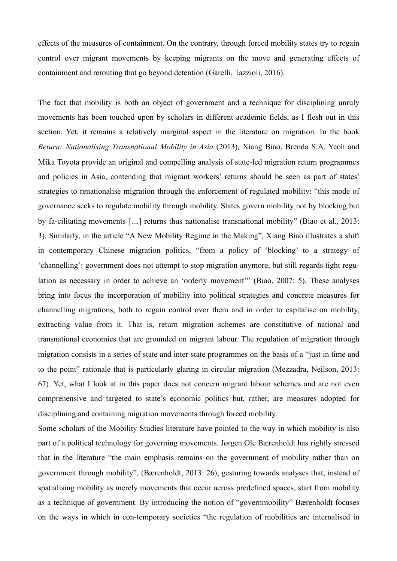effects of the measures of containment. On the contrary, through forced mobility states try to regain control over migrant movements by keeping migrants on the move and generating effects of containment and rerouting that go beyond detention (Garelli, Tazzioli, 2016).

The fact that mobility is both an object of government and a technique for disciplining unruly movements has been touched upon by scholars in different academic fields, as I flesh out in this section. Yet, it remains a relatively marginal aspect in the literature on migration. In the book *Return: Nationalising Transnational Mobility in Asia (2013), Xiang Biao, Brenda S.A. Yeoh and* Mika Toyota provide an original and compelling analysis of state-led migration return programmes and policies in Asia, contending that migrant workers' returns should be seen as part of states' strategies to renationalise migration through the enforcement of regulated mobility: "this mode of governance seeks to regulate mobility through mobility. States govern mobility not by blocking but by fa-cilitating movements […] returns thus nationalise transnational mobility" (Biao et al., 2013: 3). Similarly, in the article "A New Mobility Regime in the Making", Xiang Biao illustrates a shift in contemporary Chinese migration politics, "from a policy of 'blocking' to a strategy of 'channelling': government does not attempt to stop migration anymore, but still regards tight regulation as necessary in order to achieve an 'orderly movement'" (Biao, 2007: 5). These analyses bring into focus the incorporation of mobility into political strategies and concrete measures for channelling migrations, both to regain control over them and in order to capitalise on mobility, extracting value from it. That is, return migration schemes are constitutive of national and transnational economies that are grounded on migrant labour. The regulation of migration through migration consists in a series of state and inter-state programmes on the basis of a "just in time and to the point" rationale that is particularly glaring in circular migration (Mezzadra, Neilson, 2013: 67). Yet, what I look at in this paper does not concern migrant labour schemes and are not even comprehensive and targeted to state's economic politics but, rather, are measures adopted for disciplining and containing migration movements through forced mobility.

Some scholars of the Mobility Studies literature have pointed to the way in which mobility is also part of a political technology for governing movements. Jørgen Ole Bærenholdt has rightly stressed that in the literature "the main emphasis remains on the government of mobility rather than on government through mobility", (Bærenholdt, 2013: 26), gesturing towards analyses that, instead of spatialising mobility as merely movements that occur across predefined spaces, start from mobility as a technique of government. By introducing the notion of "governmobility" Bærenholdt focuses on the ways in which in con-temporary societies "the regulation of mobilities are internalised in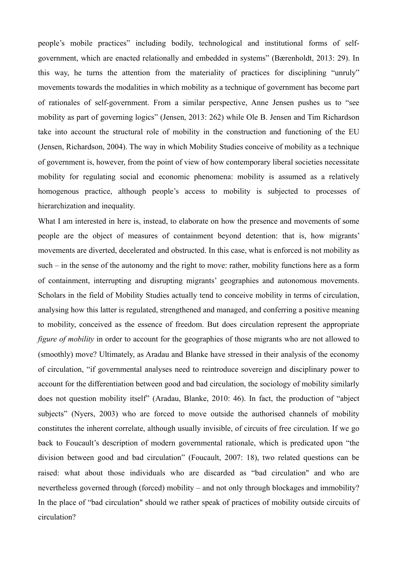people's mobile practices" including bodily, technological and institutional forms of selfgovernment, which are enacted relationally and embedded in systems" (Bærenholdt, 2013: 29). In this way, he turns the attention from the materiality of practices for disciplining "unruly" movements towards the modalities in which mobility as a technique of government has become part of rationales of self-government. From a similar perspective, Anne Jensen pushes us to "see mobility as part of governing logics" (Jensen, 2013: 262) while Ole B. Jensen and Tim Richardson take into account the structural role of mobility in the construction and functioning of the EU (Jensen, Richardson, 2004). The way in which Mobility Studies conceive of mobility as a technique of government is, however, from the point of view of how contemporary liberal societies necessitate mobility for regulating social and economic phenomena: mobility is assumed as a relatively homogenous practice, although people's access to mobility is subjected to processes of hierarchization and inequality.

What I am interested in here is, instead, to elaborate on how the presence and movements of some people are the object of measures of containment beyond detention: that is, how migrants' movements are diverted, decelerated and obstructed. In this case, what is enforced is not mobility as such – in the sense of the autonomy and the right to move: rather, mobility functions here as a form of containment, interrupting and disrupting migrants' geographies and autonomous movements. Scholars in the field of Mobility Studies actually tend to conceive mobility in terms of circulation, analysing how this latter is regulated, strengthened and managed, and conferring a positive meaning to mobility, conceived as the essence of freedom. But does circulation represent the appropriate *figure of mobility* in order to account for the geographies of those migrants who are not allowed to (smoothly) move? Ultimately, as Aradau and Blanke have stressed in their analysis of the economy of circulation, "if governmental analyses need to reintroduce sovereign and disciplinary power to account for the differentiation between good and bad circulation, the sociology of mobility similarly does not question mobility itself" (Aradau, Blanke, 2010: 46). In fact, the production of "abject subjects" (Nyers, 2003) who are forced to move outside the authorised channels of mobility constitutes the inherent correlate, although usually invisible, of circuits of free circulation. If we go back to Foucault's description of modern governmental rationale, which is predicated upon "the division between good and bad circulation" (Foucault, 2007: 18), two related questions can be raised: what about those individuals who are discarded as "bad circulation" and who are nevertheless governed through (forced) mobility – and not only through blockages and immobility? In the place of "bad circulation" should we rather speak of practices of mobility outside circuits of circulation?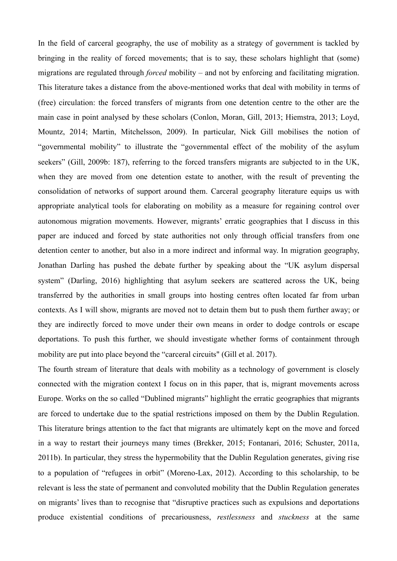In the field of carceral geography, the use of mobility as a strategy of government is tackled by bringing in the reality of forced movements; that is to say, these scholars highlight that (some) migrations are regulated through *forced* mobility – and not by enforcing and facilitating migration. This literature takes a distance from the above-mentioned works that deal with mobility in terms of (free) circulation: the forced transfers of migrants from one detention centre to the other are the main case in point analysed by these scholars (Conlon, Moran, Gill, 2013; Hiemstra, 2013; Loyd, Mountz, 2014; Martin, Mitchelsson, 2009). In particular, Nick Gill mobilises the notion of "governmental mobility" to illustrate the "governmental effect of the mobility of the asylum seekers" (Gill, 2009b: 187), referring to the forced transfers migrants are subjected to in the UK, when they are moved from one detention estate to another, with the result of preventing the consolidation of networks of support around them. Carceral geography literature equips us with appropriate analytical tools for elaborating on mobility as a measure for regaining control over autonomous migration movements. However, migrants' erratic geographies that I discuss in this paper are induced and forced by state authorities not only through official transfers from one detention center to another, but also in a more indirect and informal way. In migration geography, Jonathan Darling has pushed the debate further by speaking about the "UK asylum dispersal system" (Darling, 2016) highlighting that asylum seekers are scattered across the UK, being transferred by the authorities in small groups into hosting centres often located far from urban contexts. As I will show, migrants are moved not to detain them but to push them further away; or they are indirectly forced to move under their own means in order to dodge controls or escape deportations. To push this further, we should investigate whether forms of containment through mobility are put into place beyond the "carceral circuits" (Gill et al. 2017).

The fourth stream of literature that deals with mobility as a technology of government is closely connected with the migration context I focus on in this paper, that is, migrant movements across Europe. Works on the so called "Dublined migrants" highlight the erratic geographies that migrants are forced to undertake due to the spatial restrictions imposed on them by the Dublin Regulation. This literature brings attention to the fact that migrants are ultimately kept on the move and forced in a way to restart their journeys many times (Brekker, 2015; Fontanari, 2016; Schuster, 2011a, 2011b). In particular, they stress the hypermobility that the Dublin Regulation generates, giving rise to a population of "refugees in orbit" (Moreno-Lax, 2012). According to this scholarship, to be relevant is less the state of permanent and convoluted mobility that the Dublin Regulation generates on migrants' lives than to recognise that "disruptive practices such as expulsions and deportations produce existential conditions of precariousness, *restlessness* and *stuckness* at the same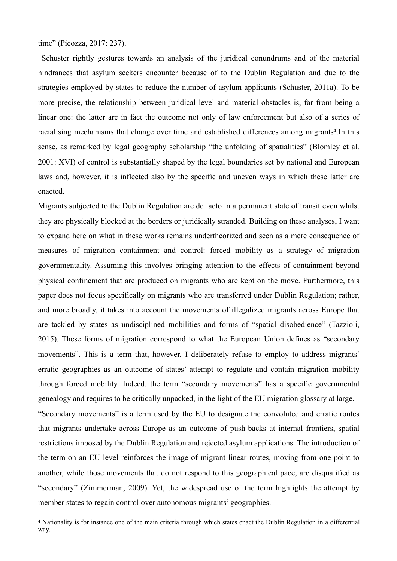time" (Picozza, 2017: 237).

 Schuster rightly gestures towards an analysis of the juridical conundrums and of the material hindrances that asylum seekers encounter because of to the Dublin Regulation and due to the strategies employed by states to reduce the number of asylum applicants (Schuster, 2011a). To be more precise, the relationship between juridical level and material obstacles is, far from being a linear one: the latter are in fact the outcome not only of law enforcement but also of a series of racialising mechanisms that change over time and established differences among migrants<sup>4</sup>. In this sense, as remarked by legal geography scholarship "the unfolding of spatialities" (Blomley et al. 2001: XVI) of control is substantially shaped by the legal boundaries set by national and European laws and, however, it is inflected also by the specific and uneven ways in which these latter are enacted.

Migrants subjected to the Dublin Regulation are de facto in a permanent state of transit even whilst they are physically blocked at the borders or juridically stranded. Building on these analyses, I want to expand here on what in these works remains undertheorized and seen as a mere consequence of measures of migration containment and control: forced mobility as a strategy of migration governmentality. Assuming this involves bringing attention to the effects of containment beyond physical confinement that are produced on migrants who are kept on the move. Furthermore, this paper does not focus specifically on migrants who are transferred under Dublin Regulation; rather, and more broadly, it takes into account the movements of illegalized migrants across Europe that are tackled by states as undisciplined mobilities and forms of "spatial disobedience" (Tazzioli, 2015). These forms of migration correspond to what the European Union defines as "secondary movements". This is a term that, however, I deliberately refuse to employ to address migrants' erratic geographies as an outcome of states' attempt to regulate and contain migration mobility through forced mobility. Indeed, the term "secondary movements" has a specific governmental genealogy and requires to be critically unpacked, in the light of the EU migration glossary at large. "Secondary movements" is a term used by the EU to designate the convoluted and erratic routes that migrants undertake across Europe as an outcome of push-backs at internal frontiers, spatial restrictions imposed by the Dublin Regulation and rejected asylum applications. The introduction of the term on an EU level reinforces the image of migrant linear routes, moving from one point to another, while those movements that do not respond to this geographical pace, are disqualified as "secondary" (Zimmerman, 2009). Yet, the widespread use of the term highlights the attempt by member states to regain control over autonomous migrants' geographies.

Nationality is for instance one of the main criteria through which states enact the Dublin Regulation in a differential 4 way.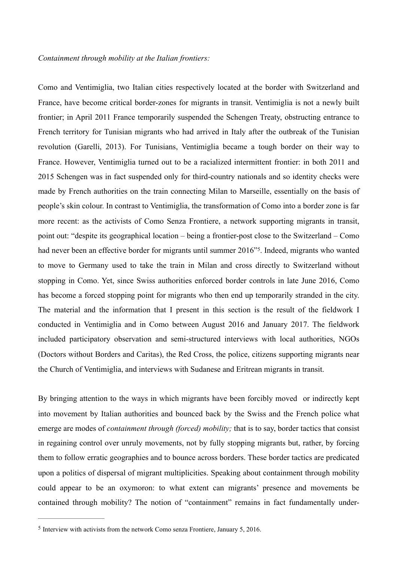Como and Ventimiglia, two Italian cities respectively located at the border with Switzerland and France, have become critical border-zones for migrants in transit. Ventimiglia is not a newly built frontier; in April 2011 France temporarily suspended the Schengen Treaty, obstructing entrance to French territory for Tunisian migrants who had arrived in Italy after the outbreak of the Tunisian revolution (Garelli, 2013). For Tunisians, Ventimiglia became a tough border on their way to France. However, Ventimiglia turned out to be a racialized intermittent frontier: in both 2011 and 2015 Schengen was in fact suspended only for third-country nationals and so identity checks were made by French authorities on the train connecting Milan to Marseille, essentially on the basis of people's skin colour. In contrast to Ventimiglia, the transformation of Como into a border zone is far more recent: as the activists of Como Senza Frontiere, a network supporting migrants in transit, point out: "despite its geographical location – being a frontier-post close to the Switzerland – Como had never been an effective border for migrants until summer 2016<sup>35</sup>. Indeed, migrants who wanted to move to Germany used to take the train in Milan and cross directly to Switzerland without stopping in Como. Yet, since Swiss authorities enforced border controls in late June 2016, Como has become a forced stopping point for migrants who then end up temporarily stranded in the city. The material and the information that I present in this section is the result of the fieldwork I conducted in Ventimiglia and in Como between August 2016 and January 2017. The fieldwork included participatory observation and semi-structured interviews with local authorities, NGOs (Doctors without Borders and Caritas), the Red Cross, the police, citizens supporting migrants near the Church of Ventimiglia, and interviews with Sudanese and Eritrean migrants in transit.

By bringing attention to the ways in which migrants have been forcibly moved or indirectly kept into movement by Italian authorities and bounced back by the Swiss and the French police what emerge are modes of *containment through (forced) mobility;* that is to say, border tactics that consist in regaining control over unruly movements, not by fully stopping migrants but, rather, by forcing them to follow erratic geographies and to bounce across borders. These border tactics are predicated upon a politics of dispersal of migrant multiplicities. Speaking about containment through mobility could appear to be an oxymoron: to what extent can migrants' presence and movements be contained through mobility? The notion of "containment" remains in fact fundamentally under-

 $\frac{5}{10}$  Interview with activists from the network Como senza Frontiere, January 5, 2016.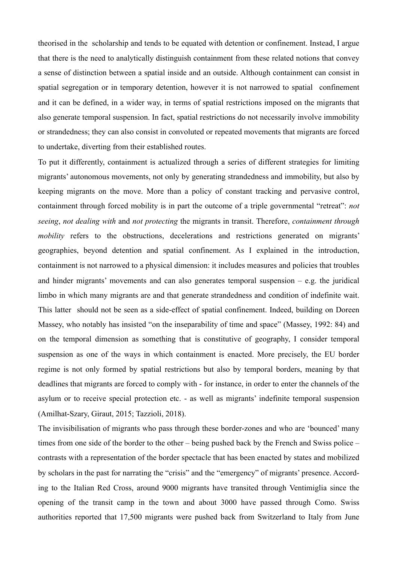theorised in the scholarship and tends to be equated with detention or confinement. Instead, I argue that there is the need to analytically distinguish containment from these related notions that convey a sense of distinction between a spatial inside and an outside. Although containment can consist in spatial segregation or in temporary detention, however it is not narrowed to spatial confinement and it can be defined, in a wider way, in terms of spatial restrictions imposed on the migrants that also generate temporal suspension. In fact, spatial restrictions do not necessarily involve immobility or strandedness; they can also consist in convoluted or repeated movements that migrants are forced to undertake, diverting from their established routes.

To put it differently, containment is actualized through a series of different strategies for limiting migrants' autonomous movements, not only by generating strandedness and immobility, but also by keeping migrants on the move. More than a policy of constant tracking and pervasive control, containment through forced mobility is in part the outcome of a triple governmental "retreat": *not seeing*, *not dealing with* and *not protecting* the migrants in transit. Therefore, *containment through mobility* refers to the obstructions, decelerations and restrictions generated on migrants' geographies, beyond detention and spatial confinement. As I explained in the introduction, containment is not narrowed to a physical dimension: it includes measures and policies that troubles and hinder migrants' movements and can also generates temporal suspension  $-$  e.g. the juridical limbo in which many migrants are and that generate strandedness and condition of indefinite wait. This latter should not be seen as a side-effect of spatial confinement. Indeed, building on Doreen Massey, who notably has insisted "on the inseparability of time and space" (Massey, 1992: 84) and on the temporal dimension as something that is constitutive of geography, I consider temporal suspension as one of the ways in which containment is enacted. More precisely, the EU border regime is not only formed by spatial restrictions but also by temporal borders, meaning by that deadlines that migrants are forced to comply with - for instance, in order to enter the channels of the asylum or to receive special protection etc. - as well as migrants' indefinite temporal suspension (Amilhat-Szary, Giraut, 2015; Tazzioli, 2018).

The invisibilisation of migrants who pass through these border-zones and who are 'bounced' many times from one side of the border to the other – being pushed back by the French and Swiss police – contrasts with a representation of the border spectacle that has been enacted by states and mobilized by scholars in the past for narrating the "crisis" and the "emergency" of migrants' presence. According to the Italian Red Cross, around 9000 migrants have transited through Ventimiglia since the opening of the transit camp in the town and about 3000 have passed through Como. Swiss authorities reported that 17,500 migrants were pushed back from Switzerland to Italy from June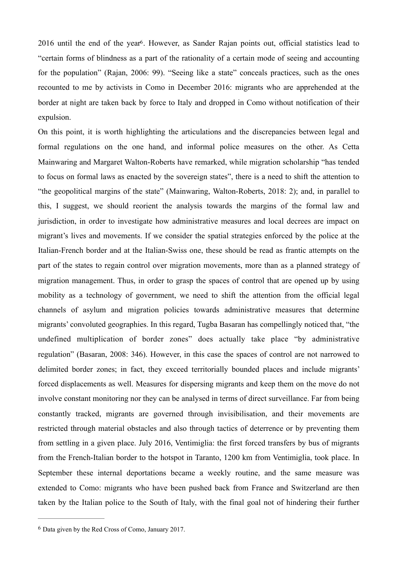2016 until the end of the year<sup>6</sup>. However, as Sander Rajan points out, official statistics lead to "certain forms of blindness as a part of the rationality of a certain mode of seeing and accounting for the population" (Rajan, 2006: 99). "Seeing like a state" conceals practices, such as the ones recounted to me by activists in Como in December 2016: migrants who are apprehended at the border at night are taken back by force to Italy and dropped in Como without notification of their expulsion.

On this point, it is worth highlighting the articulations and the discrepancies between legal and formal regulations on the one hand, and informal police measures on the other. As Cetta Mainwaring and Margaret Walton-Roberts have remarked, while migration scholarship "has tended to focus on formal laws as enacted by the sovereign states", there is a need to shift the attention to "the geopolitical margins of the state" (Mainwaring, Walton-Roberts, 2018: 2); and, in parallel to this, I suggest, we should reorient the analysis towards the margins of the formal law and jurisdiction, in order to investigate how administrative measures and local decrees are impact on migrant's lives and movements. If we consider the spatial strategies enforced by the police at the Italian-French border and at the Italian-Swiss one, these should be read as frantic attempts on the part of the states to regain control over migration movements, more than as a planned strategy of migration management. Thus, in order to grasp the spaces of control that are opened up by using mobility as a technology of government, we need to shift the attention from the official legal channels of asylum and migration policies towards administrative measures that determine migrants' convoluted geographies. In this regard, Tugba Basaran has compellingly noticed that, "the undefined multiplication of border zones" does actually take place "by administrative regulation" (Basaran, 2008: 346). However, in this case the spaces of control are not narrowed to delimited border zones; in fact, they exceed territorially bounded places and include migrants' forced displacements as well. Measures for dispersing migrants and keep them on the move do not involve constant monitoring nor they can be analysed in terms of direct surveillance. Far from being constantly tracked, migrants are governed through invisibilisation, and their movements are restricted through material obstacles and also through tactics of deterrence or by preventing them from settling in a given place. July 2016, Ventimiglia: the first forced transfers by bus of migrants from the French-Italian border to the hotspot in Taranto, 1200 km from Ventimiglia, took place. In September these internal deportations became a weekly routine, and the same measure was extended to Como: migrants who have been pushed back from France and Switzerland are then taken by the Italian police to the South of Italy, with the final goal not of hindering their further

 $6$  Data given by the Red Cross of Como, January 2017.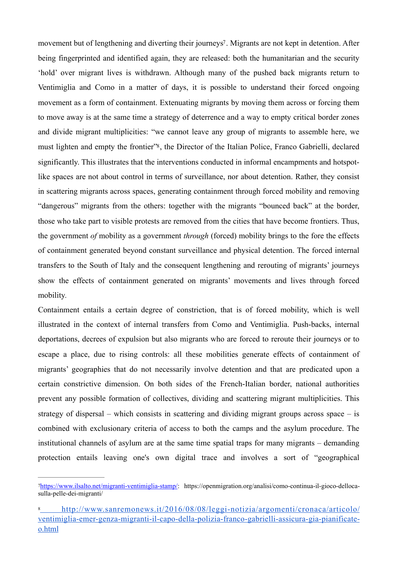movement but of lengthening and diverting their journeys<sup>7</sup>. Migrants are not kept in detention. After being fingerprinted and identified again, they are released: both the humanitarian and the security 'hold' over migrant lives is withdrawn. Although many of the pushed back migrants return to Ventimiglia and Como in a matter of days, it is possible to understand their forced ongoing movement as a form of containment. Extenuating migrants by moving them across or forcing them to move away is at the same time a strategy of deterrence and a way to empty critical border zones and divide migrant multiplicities: "we cannot leave any group of migrants to assemble here, we must lighten and empty the frontier"8, the Director of the Italian Police, Franco Gabrielli, declared significantly. This illustrates that the interventions conducted in informal encampments and hotspotlike spaces are not about control in terms of surveillance, nor about detention. Rather, they consist in scattering migrants across spaces, generating containment through forced mobility and removing "dangerous" migrants from the others: together with the migrants "bounced back" at the border, those who take part to visible protests are removed from the cities that have become frontiers. Thus, the government *of* mobility as a government *through* (forced) mobility brings to the fore the effects of containment generated beyond constant surveillance and physical detention. The forced internal transfers to the South of Italy and the consequent lengthening and rerouting of migrants' journeys show the effects of containment generated on migrants' movements and lives through forced mobility*.*

Containment entails a certain degree of constriction, that is of forced mobility, which is well illustrated in the context of internal transfers from Como and Ventimiglia. Push-backs, internal deportations, decrees of expulsion but also migrants who are forced to reroute their journeys or to escape a place, due to rising controls: all these mobilities generate effects of containment of migrants' geographies that do not necessarily involve detention and that are predicated upon a certain constrictive dimension. On both sides of the French-Italian border, national authorities prevent any possible formation of collectives, dividing and scattering migrant multiplicities. This strategy of dispersal – which consists in scattering and dividing migrant groups across space – is combined with exclusionary criteria of access to both the camps and the asylum procedure. The institutional channels of asylum are at the same time spatial traps for many migrants – demanding protection entails leaving one's own digital trace and involves a sort of "geographical

<sup>&</sup>lt;sup>7</sup>https://www.ilsalto.net/migranti-ventimiglia-stamp/: https://openmigration.org/analisi/como-continua-il-gioco-dellocasulla-pelle-dei-migranti/

http://www.sanremonews.it/2016/08/08/leggi-notizia/argomenti/cronaca/articolo/ ventimiglia-emer-genza-migranti-il-capo-della-polizia-franco-gabrielli-assicura-gia-pianificateo.html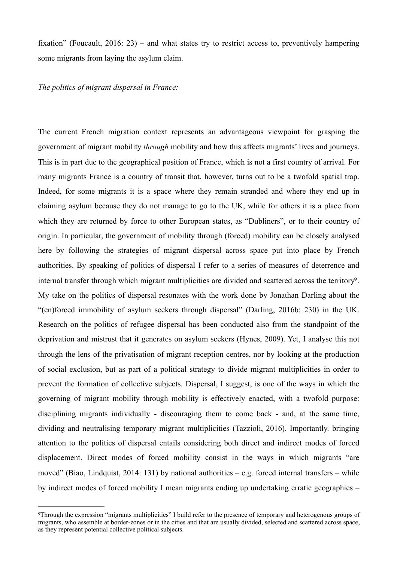fixation" (Foucault, 2016: 23) – and what states try to restrict access to, preventively hampering some migrants from laying the asylum claim.

*The politics of migrant dispersal in France:* 

The current French migration context represents an advantageous viewpoint for grasping the government of migrant mobility *through* mobility and how this affects migrants' lives and journeys. This is in part due to the geographical position of France, which is not a first country of arrival. For many migrants France is a country of transit that, however, turns out to be a twofold spatial trap. Indeed, for some migrants it is a space where they remain stranded and where they end up in claiming asylum because they do not manage to go to the UK, while for others it is a place from which they are returned by force to other European states, as "Dubliners", or to their country of origin. In particular, the government of mobility through (forced) mobility can be closely analysed here by following the strategies of migrant dispersal across space put into place by French authorities. By speaking of politics of dispersal I refer to a series of measures of deterrence and internal transfer through which migrant multiplicities are divided and scattered across the territory<sup>9</sup>. My take on the politics of dispersal resonates with the work done by Jonathan Darling about the "(en)forced immobility of asylum seekers through dispersal" (Darling, 2016b: 230) in the UK. Research on the politics of refugee dispersal has been conducted also from the standpoint of the deprivation and mistrust that it generates on asylum seekers (Hynes, 2009). Yet, I analyse this not through the lens of the privatisation of migrant reception centres, nor by looking at the production of social exclusion, but as part of a political strategy to divide migrant multiplicities in order to prevent the formation of collective subjects. Dispersal, I suggest, is one of the ways in which the governing of migrant mobility through mobility is effectively enacted, with a twofold purpose: disciplining migrants individually - discouraging them to come back - and, at the same time, dividing and neutralising temporary migrant multiplicities (Tazzioli, 2016). Importantly. bringing attention to the politics of dispersal entails considering both direct and indirect modes of forced displacement. Direct modes of forced mobility consist in the ways in which migrants "are moved" (Biao, Lindquist, 2014: 131) by national authorities – e.g. forced internal transfers – while by indirect modes of forced mobility I mean migrants ending up undertaking erratic geographies –

Through the expression "migrants multiplicities" I build refer to the presence of temporary and heterogenous groups of 9 migrants, who assemble at border-zones or in the cities and that are usually divided, selected and scattered across space, as they represent potential collective political subjects.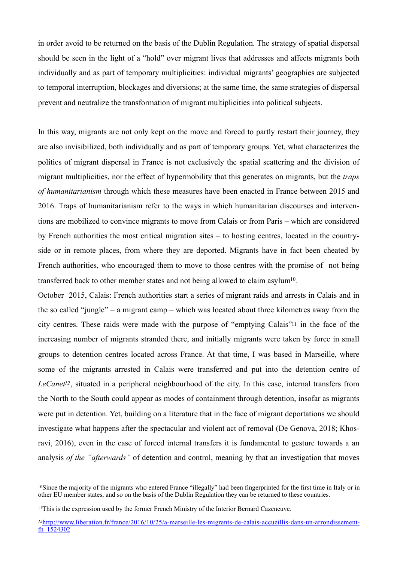in order avoid to be returned on the basis of the Dublin Regulation. The strategy of spatial dispersal should be seen in the light of a "hold" over migrant lives that addresses and affects migrants both individually and as part of temporary multiplicities: individual migrants' geographies are subjected to temporal interruption, blockages and diversions; at the same time, the same strategies of dispersal prevent and neutralize the transformation of migrant multiplicities into political subjects.

In this way, migrants are not only kept on the move and forced to partly restart their journey, they are also invisibilized, both individually and as part of temporary groups. Yet, what characterizes the politics of migrant dispersal in France is not exclusively the spatial scattering and the division of migrant multiplicities, nor the effect of hypermobility that this generates on migrants, but the *traps of humanitarianism* through which these measures have been enacted in France between 2015 and 2016. Traps of humanitarianism refer to the ways in which humanitarian discourses and interventions are mobilized to convince migrants to move from Calais or from Paris – which are considered by French authorities the most critical migration sites – to hosting centres, located in the countryside or in remote places, from where they are deported. Migrants have in fact been cheated by French authorities, who encouraged them to move to those centres with the promise of not being transferred back to other member states and not being allowed to claim asylum<sup>10</sup>.

October 2015, Calais: French authorities start a series of migrant raids and arrests in Calais and in the so called "jungle" – a migrant camp – which was located about three kilometres away from the city centres. These raids were made with the purpose of "emptying Calais"11 in the face of the increasing number of migrants stranded there, and initially migrants were taken by force in small groups to detention centres located across France. At that time, I was based in Marseille, where some of the migrants arrested in Calais were transferred and put into the detention centre of *LeCanet12*, situated in a peripheral neighbourhood of the city. In this case, internal transfers from the North to the South could appear as modes of containment through detention, insofar as migrants were put in detention. Yet, building on a literature that in the face of migrant deportations we should investigate what happens after the spectacular and violent act of removal (De Genova, 2018; Khosravi, 2016), even in the case of forced internal transfers it is fundamental to gesture towards a an analysis *of the "afterwards"* of detention and control, meaning by that an investigation that moves

<sup>&</sup>lt;sup>10</sup>Since the majority of the migrants who entered France "illegally" had been fingerprinted for the first time in Italy or in other EU member states, and so on the basis of the Dublin Regulation they can be returned to these countries.

 $11$ This is the expression used by the former French Ministry of the Interior Bernard Cazeneuve.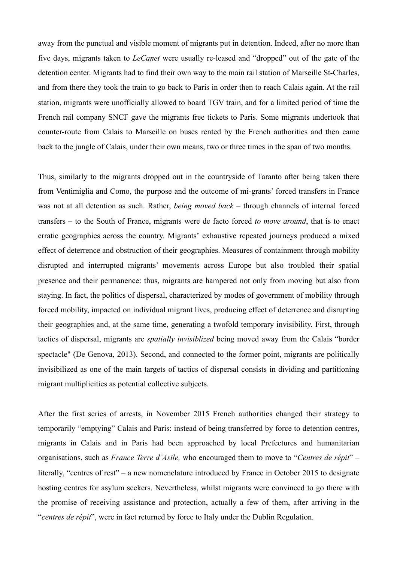away from the punctual and visible moment of migrants put in detention. Indeed, after no more than five days, migrants taken to *LeCanet* were usually re-leased and "dropped" out of the gate of the detention center. Migrants had to find their own way to the main rail station of Marseille St-Charles, and from there they took the train to go back to Paris in order then to reach Calais again. At the rail station, migrants were unofficially allowed to board TGV train, and for a limited period of time the French rail company SNCF gave the migrants free tickets to Paris. Some migrants undertook that counter-route from Calais to Marseille on buses rented by the French authorities and then came back to the jungle of Calais, under their own means, two or three times in the span of two months.

Thus, similarly to the migrants dropped out in the countryside of Taranto after being taken there from Ventimiglia and Como, the purpose and the outcome of mi-grants' forced transfers in France was not at all detention as such. Rather, *being moved back* – through channels of internal forced transfers – to the South of France, migrants were de facto forced *to move around*, that is to enact erratic geographies across the country. Migrants' exhaustive repeated journeys produced a mixed effect of deterrence and obstruction of their geographies. Measures of containment through mobility disrupted and interrupted migrants' movements across Europe but also troubled their spatial presence and their permanence: thus, migrants are hampered not only from moving but also from staying. In fact, the politics of dispersal, characterized by modes of government of mobility through forced mobility, impacted on individual migrant lives, producing effect of deterrence and disrupting their geographies and, at the same time, generating a twofold temporary invisibility. First, through tactics of dispersal, migrants are *spatially invisiblized* being moved away from the Calais "border spectacle" (De Genova, 2013). Second, and connected to the former point, migrants are politically invisibilized as one of the main targets of tactics of dispersal consists in dividing and partitioning migrant multiplicities as potential collective subjects.

After the first series of arrests, in November 2015 French authorities changed their strategy to temporarily "emptying" Calais and Paris: instead of being transferred by force to detention centres, migrants in Calais and in Paris had been approached by local Prefectures and humanitarian organisations, such as *France Terre d'Asile,* who encouraged them to move to "*Centres de répit*" – literally, "centres of rest" – a new nomenclature introduced by France in October 2015 to designate hosting centres for asylum seekers. Nevertheless, whilst migrants were convinced to go there with the promise of receiving assistance and protection, actually a few of them, after arriving in the "*centres de répit*", were in fact returned by force to Italy under the Dublin Regulation.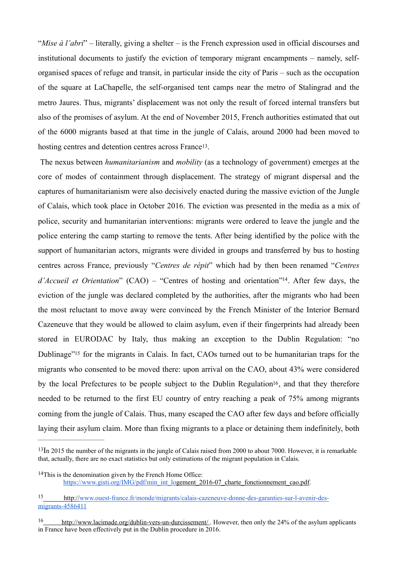"*Mise à l'abri*" – literally, giving a shelter – is the French expression used in official discourses and institutional documents to justify the eviction of temporary migrant encampments – namely, selforganised spaces of refuge and transit, in particular inside the city of Paris – such as the occupation of the square at LaChapelle, the self-organised tent camps near the metro of Stalingrad and the metro Jaures. Thus, migrants' displacement was not only the result of forced internal transfers but also of the promises of asylum. At the end of November 2015, French authorities estimated that out of the 6000 migrants based at that time in the jungle of Calais, around 2000 had been moved to hosting centres and detention centres across France<sup>13</sup>.

 The nexus between *humanitarianism* and *mobility* (as a technology of government) emerges at the core of modes of containment through displacement. The strategy of migrant dispersal and the captures of humanitarianism were also decisively enacted during the massive eviction of the Jungle of Calais, which took place in October 2016. The eviction was presented in the media as a mix of police, security and humanitarian interventions: migrants were ordered to leave the jungle and the police entering the camp starting to remove the tents. After being identified by the police with the support of humanitarian actors, migrants were divided in groups and transferred by bus to hosting centres across France, previously "*Centres de répit*" which had by then been renamed "*Centres d'Accueil et Orientation*" (CAO) – "Centres of hosting and orientation"<sup>14</sup>. After few days, the eviction of the jungle was declared completed by the authorities, after the migrants who had been the most reluctant to move away were convinced by the French Minister of the Interior Bernard Cazeneuve that they would be allowed to claim asylum, even if their fingerprints had already been stored in EURODAC by Italy, thus making an exception to the Dublin Regulation: "no Dublinage<sup>"15</sup> for the migrants in Calais. In fact, CAOs turned out to be humanitarian traps for the migrants who consented to be moved there: upon arrival on the CAO, about 43% were considered by the local Prefectures to be people subject to the Dublin Regulation16, and that they therefore needed to be returned to the first EU country of entry reaching a peak of 75% among migrants coming from the jungle of Calais. Thus, many escaped the CAO after few days and before officially laying their asylum claim. More than fixing migrants to a place or detaining them indefinitely, both

 $13$ In 2015 the number of the migrants in the jungle of Calais raised from 2000 to about 7000. However, it is remarkable that, actually, there are no exact statistics but only estimations of the migrant population in Calais.

 $14$ This is the denomination given by the French Home Office: https://www.gisti.org/IMG/pdf/min\_int\_logement\_2016-07\_charte\_fonctionnement\_cao.pdf.

http://www.ouest-france.fr/monde/migrants/calais-cazeneuve-donne-des-garanties-sur-l-avenir-desmigrants-4586411

http://www.lacimade.org/dublin-vers-un-durcissement/ . However, then only the 24% of the asylum applicants 16 in France have been effectively put in the Dublin procedure in 2016.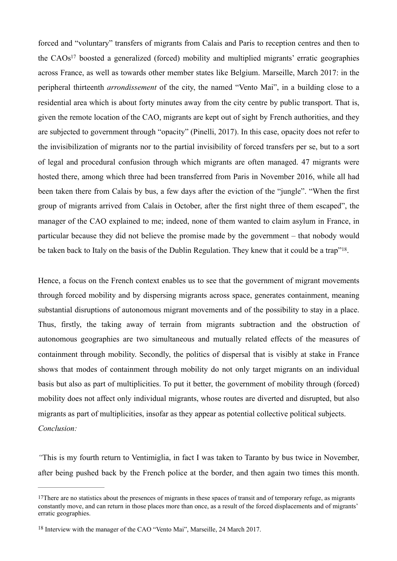forced and "voluntary" transfers of migrants from Calais and Paris to reception centres and then to the  $CAOs<sup>17</sup>$  boosted a generalized (forced) mobility and multiplied migrants' erratic geographies across France, as well as towards other member states like Belgium. Marseille, March 2017: in the peripheral thirteenth *arrondissement* of the city, the named "Vento Mai", in a building close to a residential area which is about forty minutes away from the city centre by public transport. That is, given the remote location of the CAO, migrants are kept out of sight by French authorities, and they are subjected to government through "opacity" (Pinelli, 2017). In this case, opacity does not refer to the invisibilization of migrants nor to the partial invisibility of forced transfers per se, but to a sort of legal and procedural confusion through which migrants are often managed. 47 migrants were hosted there, among which three had been transferred from Paris in November 2016, while all had been taken there from Calais by bus, a few days after the eviction of the "jungle". "When the first group of migrants arrived from Calais in October, after the first night three of them escaped", the manager of the CAO explained to me; indeed, none of them wanted to claim asylum in France, in particular because they did not believe the promise made by the government – that nobody would be taken back to Italy on the basis of the Dublin Regulation. They knew that it could be a trap"<sup>18</sup>.

Hence, a focus on the French context enables us to see that the government of migrant movements through forced mobility and by dispersing migrants across space, generates containment, meaning substantial disruptions of autonomous migrant movements and of the possibility to stay in a place. Thus, firstly, the taking away of terrain from migrants subtraction and the obstruction of autonomous geographies are two simultaneous and mutually related effects of the measures of containment through mobility. Secondly, the politics of dispersal that is visibly at stake in France shows that modes of containment through mobility do not only target migrants on an individual basis but also as part of multiplicities. To put it better, the government of mobility through (forced) mobility does not affect only individual migrants, whose routes are diverted and disrupted, but also migrants as part of multiplicities, insofar as they appear as potential collective political subjects. *Conclusion:*

*"*This is my fourth return to Ventimiglia, in fact I was taken to Taranto by bus twice in November, after being pushed back by the French police at the border, and then again two times this month.

<sup>&</sup>lt;sup>17</sup>There are no statistics about the presences of migrants in these spaces of transit and of temporary refuge, as migrants constantly move, and can return in those places more than once, as a result of the forced displacements and of migrants' erratic geographies.

<sup>&</sup>lt;sup>18</sup> Interview with the manager of the CAO "Vento Mai", Marseille, 24 March 2017.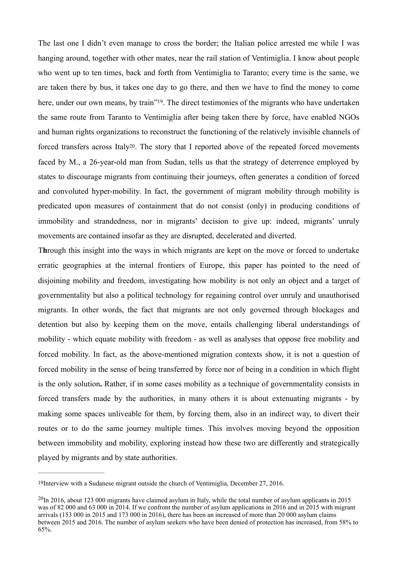The last one I didn't even manage to cross the border; the Italian police arrested me while I was hanging around, together with other mates, near the rail station of Ventimiglia. I know about people who went up to ten times, back and forth from Ventimiglia to Taranto; every time is the same, we are taken there by bus, it takes one day to go there, and then we have to find the money to come here, under our own means, by train"<sup>19</sup>. The direct testimonies of the migrants who have undertaken the same route from Taranto to Ventimiglia after being taken there by force, have enabled NGOs and human rights organizations to reconstruct the functioning of the relatively invisible channels of forced transfers across Italy20. The story that I reported above of the repeated forced movements faced by M., a 26-year-old man from Sudan, tells us that the strategy of deterrence employed by states to discourage migrants from continuing their journeys, often generates a condition of forced and convoluted hyper-mobility. In fact, the government of migrant mobility through mobility is predicated upon measures of containment that do not consist (only) in producing conditions of immobility and strandedness, nor in migrants' decision to give up: indeed, migrants' unruly movements are contained insofar as they are disrupted, decelerated and diverted.

T**h**rough this insight into the ways in which migrants are kept on the move or forced to undertake erratic geographies at the internal frontiers of Europe, this paper has pointed to the need of disjoining mobility and freedom, investigating how mobility is not only an object and a target of governmentality but also a political technology for regaining control over unruly and unauthorised migrants. In other words, the fact that migrants are not only governed through blockages and detention but also by keeping them on the move, entails challenging liberal understandings of mobility - which equate mobility with freedom - as well as analyses that oppose free mobility and forced mobility. In fact, as the above-mentioned migration contexts show, it is not a question of forced mobility in the sense of being transferred by force nor of being in a condition in which flight is the only solution**.** Rather, if in some cases mobility as a technique of governmentality consists in forced transfers made by the authorities, in many others it is about extenuating migrants - by making some spaces unliveable for them, by forcing them, also in an indirect way, to divert their routes or to do the same journey multiple times. This involves moving beyond the opposition between immobility and mobility, exploring instead how these two are differently and strategically played by migrants and by state authorities.

<sup>19</sup>Interview with a Sudanese migrant outside the church of Ventimiglia, December 27, 2016.

 $^{20}$ In 2016, about 123 000 migrants have claimed asylum in Italy, while the total number of asylum applicants in 2015 was of 82 000 and 63 000 in 2014. If we confront the number of asylum applications in 2016 and in 2015 with migrant arrivals (153 000 in 2015 and 173 000 in 2016), there has been an increased of more than 20 000 asylum claims between 2015 and 2016. The number of asylum seekers who have been denied of protection has increased, from 58% to 65%.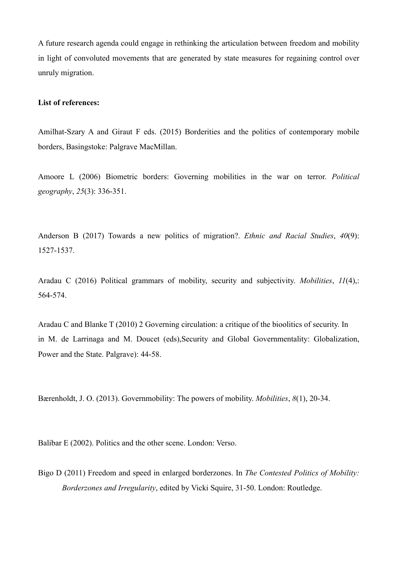A future research agenda could engage in rethinking the articulation between freedom and mobility in light of convoluted movements that are generated by state measures for regaining control over unruly migration.

#### **List of references:**

Amilhat-Szary A and Giraut F eds. (2015) Borderities and the politics of contemporary mobile borders, Basingstoke: Palgrave MacMillan.

Amoore L (2006) Biometric borders: Governing mobilities in the war on terror. *Political geography*, *25*(3): 336-351.

Anderson B (2017) Towards a new politics of migration?. *Ethnic and Racial Studies*, *40*(9): 1527-1537.

Aradau C (2016) Political grammars of mobility, security and subjectivity. *Mobilities*, *11*(4),: 564-574.

Aradau C and Blanke T (2010) 2 Governing circulation: a critique of the bioolitics of security. In in M. de Larrinaga and M. Doucet (eds),Security and Global Governmentality: Globalization, Power and the State. Palgrave): 44-58.

Bærenholdt, J. O. (2013). Governmobility: The powers of mobility. *Mobilities*, *8*(1), 20-34.

Balibar E (2002). Politics and the other scene. London: Verso.

Bigo D (2011) Freedom and speed in enlarged borderzones. In *The Contested Politics of Mobility: Borderzones and Irregularity*, edited by Vicki Squire, 31-50. London: Routledge.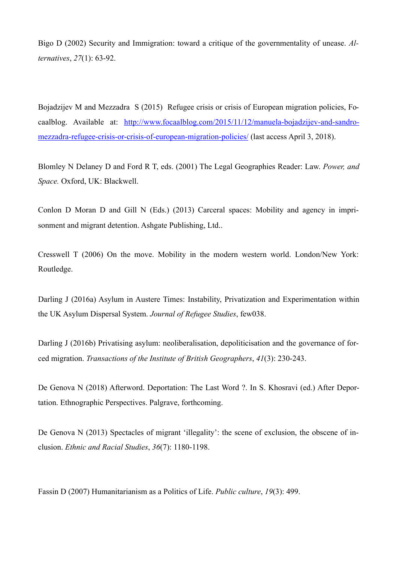Bigo D (2002) Security and Immigration: toward a critique of the governmentality of unease. *Alternatives*, *27*(1): 63-92.

Bojadzijev M and Mezzadra S (2015) Refugee crisis or crisis of European migration policies, Focaalblog. Available at: http://www.focaalblog.com/2015/11/12/manuela-bojadzijev-and-sandromezzadra-refugee-crisis-or-crisis-of-european-migration-policies/ (last access April 3, 2018).

Blomley N Delaney D and Ford R T, eds. (2001) The Legal Geographies Reader: Law. *Power, and Space.* Oxford, UK: Blackwell.

Conlon D Moran D and Gill N (Eds.) (2013) Carceral spaces: Mobility and agency in imprisonment and migrant detention. Ashgate Publishing, Ltd..

Cresswell T (2006) On the move. Mobility in the modern western world. London/New York: Routledge.

Darling J (2016a) Asylum in Austere Times: Instability, Privatization and Experimentation within the UK Asylum Dispersal System. *Journal of Refugee Studies*, few038.

Darling J (2016b) Privatising asylum: neoliberalisation, depoliticisation and the governance of forced migration. *Transactions of the Institute of British Geographers*, *41*(3): 230-243.

De Genova N (2018) Afterword. Deportation: The Last Word ?. In S. Khosravi (ed.) After Deportation. Ethnographic Perspectives. Palgrave, forthcoming.

De Genova N (2013) Spectacles of migrant 'illegality': the scene of exclusion, the obscene of inclusion. *Ethnic and Racial Studies*, *36*(7): 1180-1198.

Fassin D (2007) Humanitarianism as a Politics of Life. *Public culture*, *19*(3): 499.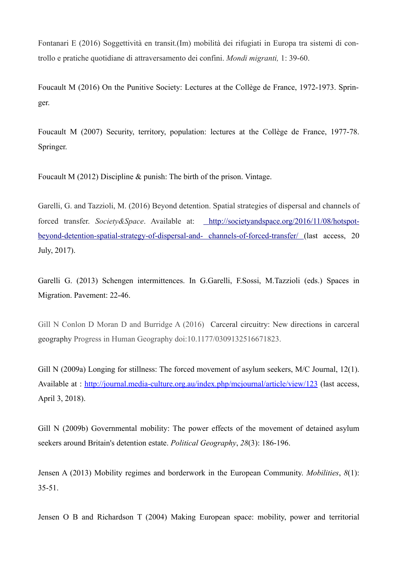Fontanari E (2016) Soggettività en transit.(Im) mobilità dei rifugiati in Europa tra sistemi di controllo e pratiche quotidiane di attraversamento dei confini. *Mondi migranti,* 1: 39-60.

Foucault M (2016) On the Punitive Society: Lectures at the Collège de France, 1972-1973. Springer.

Foucault M (2007) Security, territory, population: lectures at the Collège de France, 1977-78. Springer.

Foucault M (2012) Discipline & punish: The birth of the prison. Vintage.

Garelli, G. and Tazzioli, M. (2016) Beyond detention. Spatial strategies of dispersal and channels of forced transfer. *Society&Space*. Available at: http://societyandspace.org/2016/11/08/hotspotbeyond-detention-spatial-strategy-of-dispersal-and- channels-of-forced-transfer/ (last access, 20 July, 2017).

Garelli G. (2013) Schengen intermittences. In G.Garelli, F.Sossi, M.Tazzioli (eds.) Spaces in Migration. Pavement: 22-46.

Gill N Conlon D Moran D and Burridge A (2016) Carceral circuitry: New directions in carceral geography Progress in Human Geography doi:10.1177/0309132516671823.

Gill N (2009a) Longing for stillness: The forced movement of asylum seekers, M/C Journal, 12(1). Available at : http://journal.media-culture.org.au/index.php/mcjournal/article/view/123 (last access, April 3, 2018).

Gill N (2009b) Governmental mobility: The power effects of the movement of detained asylum seekers around Britain's detention estate. *Political Geography*, *28*(3): 186-196.

Jensen A (2013) Mobility regimes and borderwork in the European Community. *Mobilities*, *8*(1): 35-51.

Jensen O B and Richardson T (2004) Making European space: mobility, power and territorial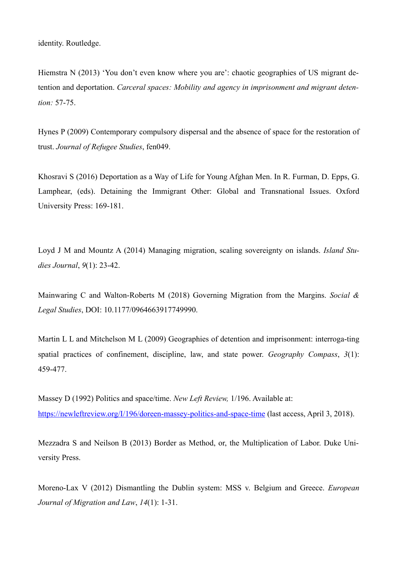identity. Routledge.

Hiemstra N (2013) 'You don't even know where you are': chaotic geographies of US migrant detention and deportation. *Carceral spaces: Mobility and agency in imprisonment and migrant detention:* 57-75.

Hynes P (2009) Contemporary compulsory dispersal and the absence of space for the restoration of trust. *Journal of Refugee Studies*, fen049.

Khosravi S (2016) Deportation as a Way of Life for Young Afghan Men. In R. Furman, D. Epps, G. Lamphear, (eds). Detaining the Immigrant Other: Global and Transnational Issues. Oxford University Press: 169-181.

Loyd J M and Mountz A (2014) Managing migration, scaling sovereignty on islands. *Island Studies Journal*, *9*(1): 23-42.

Mainwaring C and Walton-Roberts M (2018) Governing Migration from the Margins. *Social & Legal Studies*, DOI: 10.1177/0964663917749990.

Martin L L and Mitchelson M L (2009) Geographies of detention and imprisonment: interroga-ting spatial practices of confinement, discipline, law, and state power. *Geography Compass*, *3*(1): 459-477.

Massey D (1992) Politics and space/time. *New Left Review,* 1/196. Available at: https://newleftreview.org/I/196/doreen-massey-politics-and-space-time (last access, April 3, 2018).

Mezzadra S and Neilson B (2013) Border as Method, or, the Multiplication of Labor. Duke University Press.

Moreno-Lax V (2012) Dismantling the Dublin system: MSS v. Belgium and Greece. *European Journal of Migration and Law*, *14*(1): 1-31.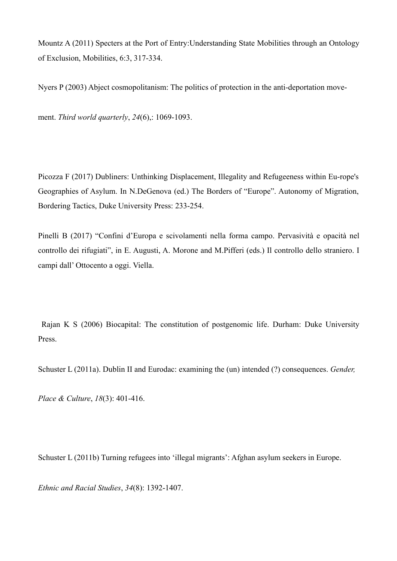Mountz A (2011) Specters at the Port of Entry:Understanding State Mobilities through an Ontology of Exclusion, Mobilities, 6:3, 317-334.

Nyers P (2003) Abject cosmopolitanism: The politics of protection in the anti-deportation move-

ment. *Third world quarterly*, *24*(6),: 1069-1093.

Picozza F (2017) Dubliners: Unthinking Displacement, Illegality and Refugeeness within Eu-rope's Geographies of Asylum. In N.DeGenova (ed.) The Borders of "Europe". Autonomy of Migration, Bordering Tactics, Duke University Press: 233-254.

Pinelli B (2017) "Confini d'Europa e scivolamenti nella forma campo. Pervasività e opacità nel controllo dei rifugiati", in E. Augusti, A. Morone and M.Pifferi (eds.) Il controllo dello straniero. I campi dall' Ottocento a oggi. Viella.

 Rajan K S (2006) Biocapital: The constitution of postgenomic life. Durham: Duke University Press.

Schuster L (2011a). Dublin II and Eurodac: examining the (un) intended (?) consequences. *Gender,*

*Place & Culture*, *18*(3): 401-416.

Schuster L (2011b) Turning refugees into 'illegal migrants': Afghan asylum seekers in Europe.

*Ethnic and Racial Studies*, *34*(8): 1392-1407.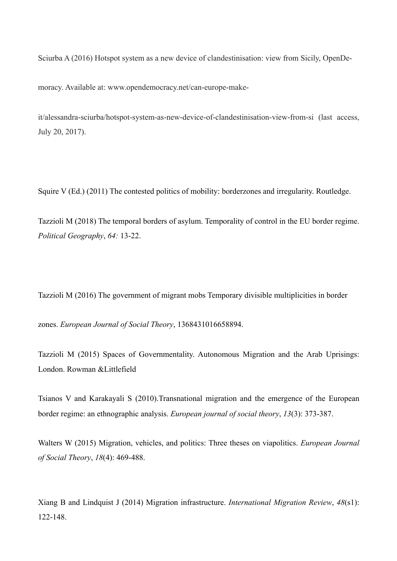Sciurba A (2016) Hotspot system as a new device of clandestinisation: view from Sicily, OpenDe-

moracy. Available at: www.opendemocracy.net/can-europe-make-

it/alessandra-sciurba/hotspot-system-as-new-device-of-clandestinisation-view-from-si (last access, July 20, 2017).

Squire V (Ed.) (2011) The contested politics of mobility: borderzones and irregularity. Routledge.

Tazzioli M (2018) The temporal borders of asylum. Temporality of control in the EU border regime. *Political Geography*, *64:* 13-22.

Tazzioli M (2016) The government of migrant mobs Temporary divisible multiplicities in border

zones. *European Journal of Social Theory*, 1368431016658894.

Tazzioli M (2015) Spaces of Governmentality. Autonomous Migration and the Arab Uprisings: London. Rowman &Littlefield

Tsianos V and Karakayali S (2010).Transnational migration and the emergence of the European border regime: an ethnographic analysis. *European journal of social theory*, *13*(3): 373-387.

Walters W (2015) Migration, vehicles, and politics: Three theses on viapolitics. *European Journal of Social Theory*, *18*(4): 469-488.

Xiang B and Lindquist J (2014) Migration infrastructure. *International Migration Review*, *48*(s1): 122-148.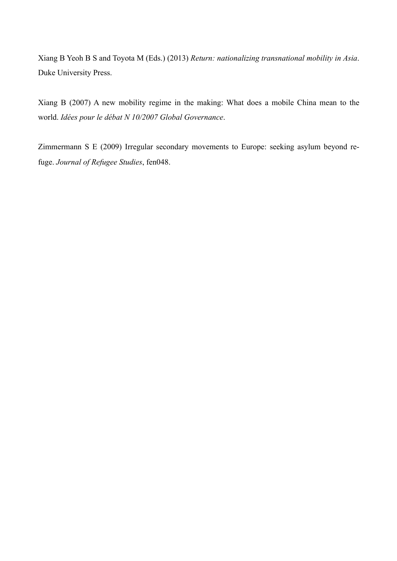Xiang B Yeoh B S and Toyota M (Eds.) (2013) *Return: nationalizing transnational mobility in Asia*. Duke University Press.

Xiang B (2007) A new mobility regime in the making: What does a mobile China mean to the world. *Idées pour le débat N 10/2007 Global Governance*.

Zimmermann S E (2009) Irregular secondary movements to Europe: seeking asylum beyond refuge. *Journal of Refugee Studies*, fen048.